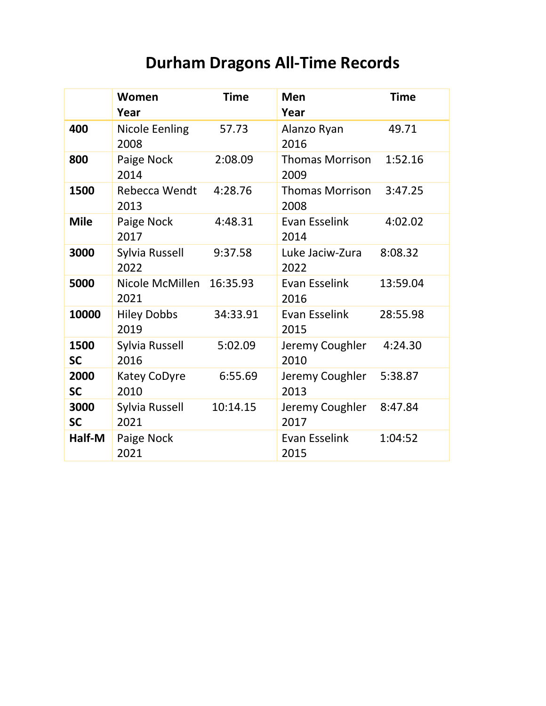## **Durham Dragons All-Time Records**

|                   | Women<br>Year                 | <b>Time</b> | <b>Men</b><br>Year              | <b>Time</b> |
|-------------------|-------------------------------|-------------|---------------------------------|-------------|
| 400               | <b>Nicole Eenling</b><br>2008 | 57.73       | Alanzo Ryan<br>2016             | 49.71       |
| 800               | Paige Nock<br>2014            | 2:08.09     | <b>Thomas Morrison</b><br>2009  | 1:52.16     |
| 1500              | Rebecca Wendt<br>2013         | 4:28.76     | Thomas Morrison<br>2008         | 3:47.25     |
| <b>Mile</b>       | Paige Nock<br>2017            | 4:48.31     | Evan Esselink<br>2014           | 4:02.02     |
| 3000              | Sylvia Russell<br>2022        | 9:37.58     | Luke Jaciw-Zura<br>2022         | 8:08.32     |
| 5000              | Nicole McMillen<br>2021       | 16:35.93    | Evan Esselink<br>2016           | 13:59.04    |
| 10000             | <b>Hiley Dobbs</b><br>2019    | 34:33.91    | Evan Esselink<br>2015           | 28:55.98    |
| 1500<br><b>SC</b> | Sylvia Russell<br>2016        | 5:02.09     | Jeremy Coughler<br>2010         | 4:24.30     |
| 2000<br><b>SC</b> | <b>Katey CoDyre</b><br>2010   | 6:55.69     | Jeremy Coughler 5:38.87<br>2013 |             |
| 3000<br><b>SC</b> | Sylvia Russell<br>2021        | 10:14.15    | Jeremy Coughler<br>2017         | 8:47.84     |
| Half-M            | Paige Nock<br>2021            |             | Evan Esselink<br>2015           | 1:04:52     |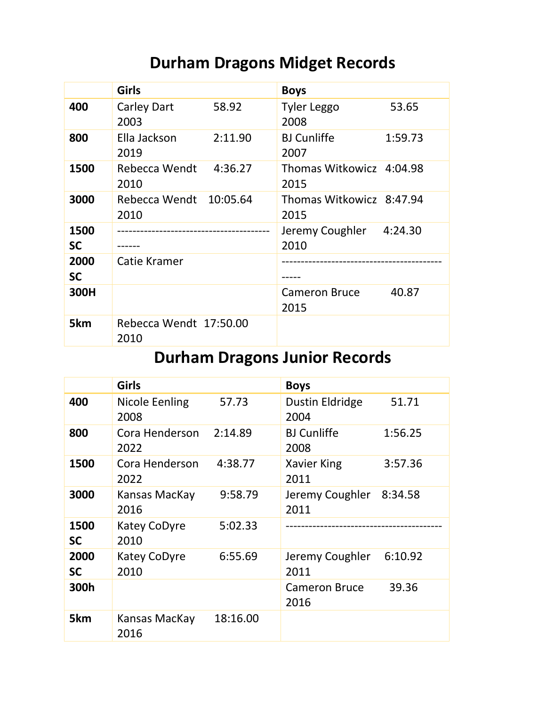## **Durham Dragons Midget Records**

|                   | <b>Girls</b>                   |         | <b>Boys</b>                      |         |
|-------------------|--------------------------------|---------|----------------------------------|---------|
| 400               | Carley Dart<br>2003            | 58.92   | <b>Tyler Leggo</b><br>2008       | 53.65   |
| 800               | Ella Jackson<br>2019           | 2:11.90 | <b>BJ</b> Cunliffe<br>2007       | 1:59.73 |
| 1500              | Rebecca Wendt<br>2010          | 4:36.27 | Thomas Witkowicz 4:04.98<br>2015 |         |
| 3000              | Rebecca Wendt 10:05.64<br>2010 |         | Thomas Witkowicz 8:47.94<br>2015 |         |
| 1500<br><b>SC</b> |                                |         | Jeremy Coughler 4:24.30<br>2010  |         |
| 2000<br><b>SC</b> | Catie Kramer                   |         |                                  |         |
| 300H              |                                |         | <b>Cameron Bruce</b><br>2015     | 40.87   |
| 5km               | Rebecca Wendt 17:50.00<br>2010 |         |                                  |         |

## **Durham Dragons Junior Records**

|                   | <b>Girls</b>           |          | <b>Boys</b>                     |         |
|-------------------|------------------------|----------|---------------------------------|---------|
| 400               | Nicole Eenling<br>2008 | 57.73    | Dustin Eldridge<br>2004         | 51.71   |
| 800               | Cora Henderson<br>2022 | 2:14.89  | <b>BJ Cunliffe</b><br>2008      | 1:56.25 |
| 1500              | Cora Henderson<br>2022 | 4:38.77  | Xavier King<br>2011             | 3:57.36 |
| 3000              | Kansas MacKay<br>2016  | 9:58.79  | Jeremy Coughler 8:34.58<br>2011 |         |
| 1500<br><b>SC</b> | Katey CoDyre<br>2010   | 5:02.33  |                                 |         |
| 2000<br><b>SC</b> | Katey CoDyre<br>2010   | 6:55.69  | Jeremy Coughler<br>2011         | 6:10.92 |
| 300h              |                        |          | <b>Cameron Bruce</b><br>2016    | 39.36   |
| 5km               | Kansas MacKay<br>2016  | 18:16.00 |                                 |         |